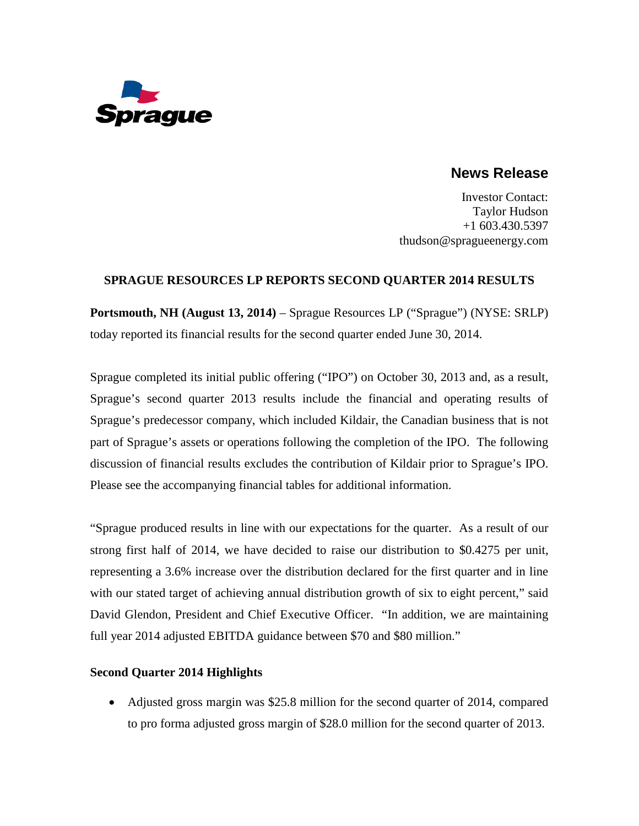

# **News Release**

Investor Contact: Taylor Hudson +1 603.430.5397 thudson@spragueenergy.com

## **SPRAGUE RESOURCES LP REPORTS SECOND QUARTER 2014 RESULTS**

**Portsmouth, NH (August 13, 2014)** – Sprague Resources LP ("Sprague") (NYSE: SRLP) today reported its financial results for the second quarter ended June 30, 2014.

Sprague completed its initial public offering ("IPO") on October 30, 2013 and, as a result, Sprague's second quarter 2013 results include the financial and operating results of Sprague's predecessor company, which included Kildair, the Canadian business that is not part of Sprague's assets or operations following the completion of the IPO. The following discussion of financial results excludes the contribution of Kildair prior to Sprague's IPO. Please see the accompanying financial tables for additional information.

"Sprague produced results in line with our expectations for the quarter. As a result of our strong first half of 2014, we have decided to raise our distribution to \$0.4275 per unit, representing a 3.6% increase over the distribution declared for the first quarter and in line with our stated target of achieving annual distribution growth of six to eight percent," said David Glendon, President and Chief Executive Officer. "In addition, we are maintaining full year 2014 adjusted EBITDA guidance between \$70 and \$80 million."

## **Second Quarter 2014 Highlights**

• Adjusted gross margin was \$25.8 million for the second quarter of 2014, compared to pro forma adjusted gross margin of \$28.0 million for the second quarter of 2013.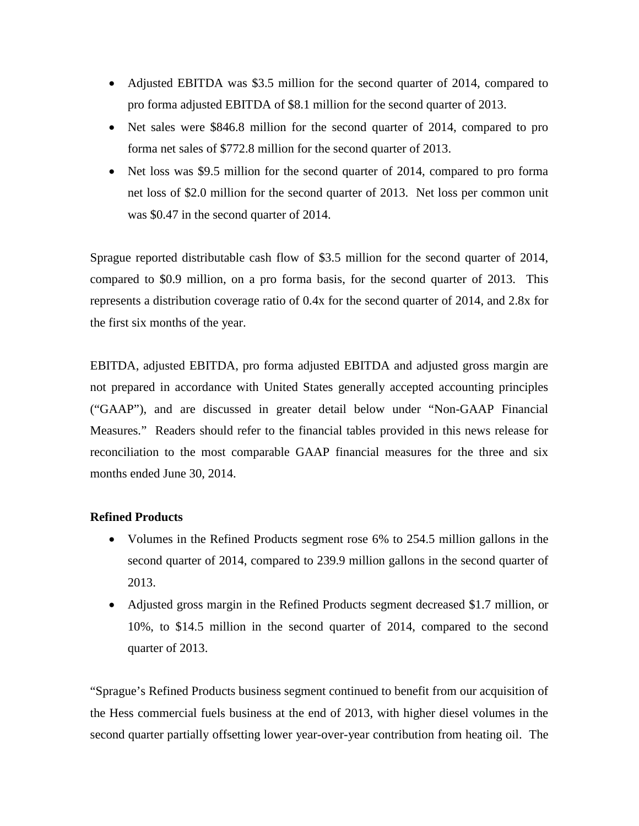- Adjusted EBITDA was \$3.5 million for the second quarter of 2014, compared to pro forma adjusted EBITDA of \$8.1 million for the second quarter of 2013.
- Net sales were \$846.8 million for the second quarter of 2014, compared to pro forma net sales of \$772.8 million for the second quarter of 2013.
- Net loss was \$9.5 million for the second quarter of 2014, compared to pro forma net loss of \$2.0 million for the second quarter of 2013. Net loss per common unit was \$0.47 in the second quarter of 2014.

Sprague reported distributable cash flow of \$3.5 million for the second quarter of 2014, compared to \$0.9 million, on a pro forma basis, for the second quarter of 2013. This represents a distribution coverage ratio of 0.4x for the second quarter of 2014, and 2.8x for the first six months of the year.

EBITDA, adjusted EBITDA, pro forma adjusted EBITDA and adjusted gross margin are not prepared in accordance with United States generally accepted accounting principles ("GAAP"), and are discussed in greater detail below under "Non-GAAP Financial Measures." Readers should refer to the financial tables provided in this news release for reconciliation to the most comparable GAAP financial measures for the three and six months ended June 30, 2014.

### **Refined Products**

- Volumes in the Refined Products segment rose 6% to 254.5 million gallons in the second quarter of 2014, compared to 239.9 million gallons in the second quarter of 2013.
- Adjusted gross margin in the Refined Products segment decreased \$1.7 million, or 10%, to \$14.5 million in the second quarter of 2014, compared to the second quarter of 2013.

"Sprague's Refined Products business segment continued to benefit from our acquisition of the Hess commercial fuels business at the end of 2013, with higher diesel volumes in the second quarter partially offsetting lower year-over-year contribution from heating oil. The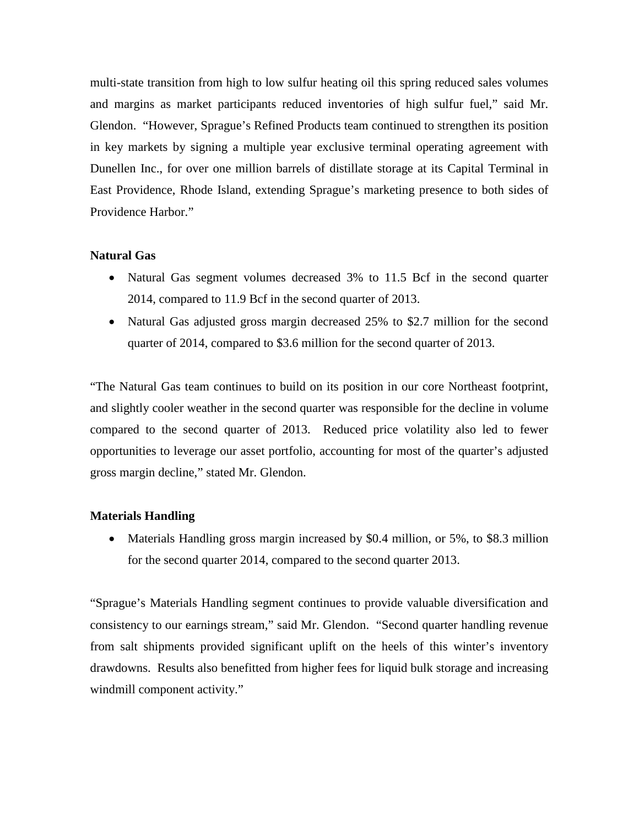multi-state transition from high to low sulfur heating oil this spring reduced sales volumes and margins as market participants reduced inventories of high sulfur fuel," said Mr. Glendon. "However, Sprague's Refined Products team continued to strengthen its position in key markets by signing a multiple year exclusive terminal operating agreement with Dunellen Inc., for over one million barrels of distillate storage at its Capital Terminal in East Providence, Rhode Island, extending Sprague's marketing presence to both sides of Providence Harbor."

### **Natural Gas**

- Natural Gas segment volumes decreased 3% to 11.5 Bcf in the second quarter 2014, compared to 11.9 Bcf in the second quarter of 2013.
- Natural Gas adjusted gross margin decreased 25% to \$2.7 million for the second quarter of 2014, compared to \$3.6 million for the second quarter of 2013.

"The Natural Gas team continues to build on its position in our core Northeast footprint, and slightly cooler weather in the second quarter was responsible for the decline in volume compared to the second quarter of 2013. Reduced price volatility also led to fewer opportunities to leverage our asset portfolio, accounting for most of the quarter's adjusted gross margin decline," stated Mr. Glendon.

### **Materials Handling**

• Materials Handling gross margin increased by \$0.4 million, or 5%, to \$8.3 million for the second quarter 2014, compared to the second quarter 2013.

"Sprague's Materials Handling segment continues to provide valuable diversification and consistency to our earnings stream," said Mr. Glendon. "Second quarter handling revenue from salt shipments provided significant uplift on the heels of this winter's inventory drawdowns. Results also benefitted from higher fees for liquid bulk storage and increasing windmill component activity."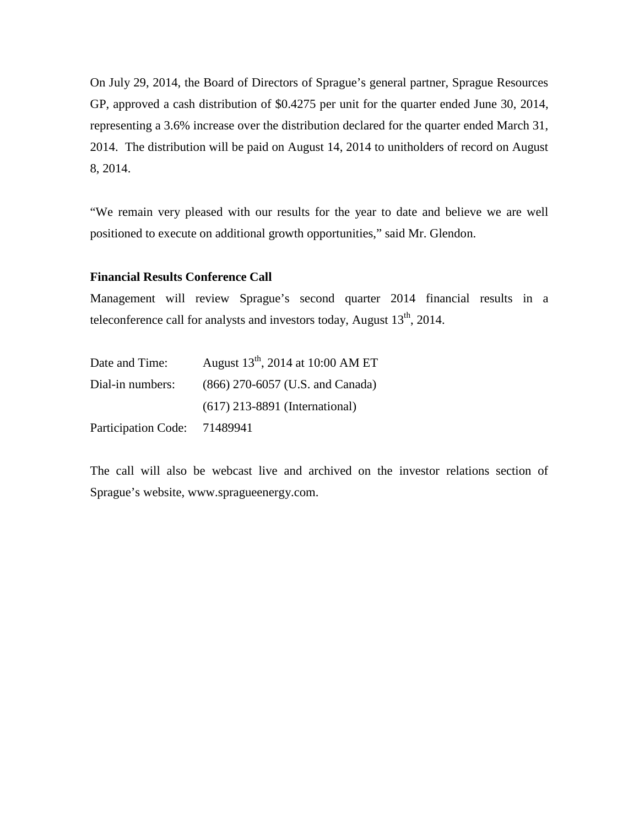On July 29, 2014, the Board of Directors of Sprague's general partner, Sprague Resources GP, approved a cash distribution of \$0.4275 per unit for the quarter ended June 30, 2014, representing a 3.6% increase over the distribution declared for the quarter ended March 31, 2014. The distribution will be paid on August 14, 2014 to unitholders of record on August 8, 2014.

"We remain very pleased with our results for the year to date and believe we are well positioned to execute on additional growth opportunities," said Mr. Glendon.

## **Financial Results Conference Call**

Management will review Sprague's second quarter 2014 financial results in a teleconference call for analysts and investors today, August  $13<sup>th</sup>$ , 2014.

| Date and Time:             | August $13^{th}$ , 2014 at 10:00 AM ET |
|----------------------------|----------------------------------------|
| Dial-in numbers:           | (866) 270-6057 (U.S. and Canada)       |
|                            | $(617)$ 213-8891 (International)       |
| <b>Participation Code:</b> | 71489941                               |

The call will also be webcast live and archived on the investor relations section of Sprague's website, [www.spragueenergy.com.](http://www.spragueenergy.com/)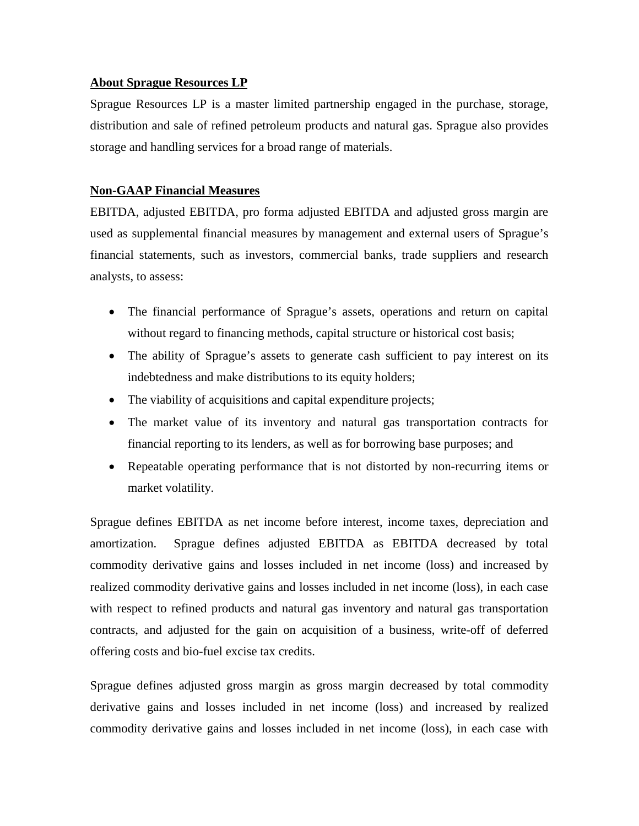## **About Sprague Resources LP**

Sprague Resources LP is a master limited partnership engaged in the purchase, storage, distribution and sale of refined petroleum products and natural gas. Sprague also provides storage and handling services for a broad range of materials.

## **Non-GAAP Financial Measures**

EBITDA, adjusted EBITDA, pro forma adjusted EBITDA and adjusted gross margin are used as supplemental financial measures by management and external users of Sprague's financial statements, such as investors, commercial banks, trade suppliers and research analysts, to assess:

- The financial performance of Sprague's assets, operations and return on capital without regard to financing methods, capital structure or historical cost basis;
- The ability of Sprague's assets to generate cash sufficient to pay interest on its indebtedness and make distributions to its equity holders;
- The viability of acquisitions and capital expenditure projects;
- The market value of its inventory and natural gas transportation contracts for financial reporting to its lenders, as well as for borrowing base purposes; and
- Repeatable operating performance that is not distorted by non-recurring items or market volatility.

Sprague defines EBITDA as net income before interest, income taxes, depreciation and amortization. Sprague defines adjusted EBITDA as EBITDA decreased by total commodity derivative gains and losses included in net income (loss) and increased by realized commodity derivative gains and losses included in net income (loss), in each case with respect to refined products and natural gas inventory and natural gas transportation contracts, and adjusted for the gain on acquisition of a business, write-off of deferred offering costs and bio-fuel excise tax credits.

Sprague defines adjusted gross margin as gross margin decreased by total commodity derivative gains and losses included in net income (loss) and increased by realized commodity derivative gains and losses included in net income (loss), in each case with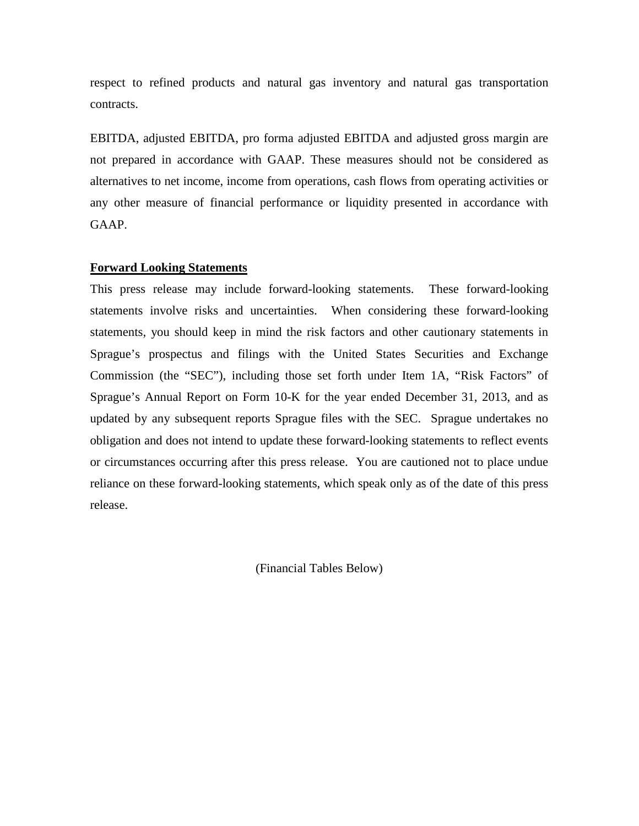respect to refined products and natural gas inventory and natural gas transportation contracts.

EBITDA, adjusted EBITDA, pro forma adjusted EBITDA and adjusted gross margin are not prepared in accordance with GAAP. These measures should not be considered as alternatives to net income, income from operations, cash flows from operating activities or any other measure of financial performance or liquidity presented in accordance with GAAP.

### **Forward Looking Statements**

This press release may include forward-looking statements. These forward-looking statements involve risks and uncertainties. When considering these forward-looking statements, you should keep in mind the risk factors and other cautionary statements in Sprague's prospectus and filings with the United States Securities and Exchange Commission (the "SEC"), including those set forth under Item 1A, "Risk Factors" of Sprague's Annual Report on Form 10-K for the year ended December 31, 2013, and as updated by any subsequent reports Sprague files with the SEC. Sprague undertakes no obligation and does not intend to update these forward-looking statements to reflect events or circumstances occurring after this press release. You are cautioned not to place undue reliance on these forward-looking statements, which speak only as of the date of this press release.

(Financial Tables Below)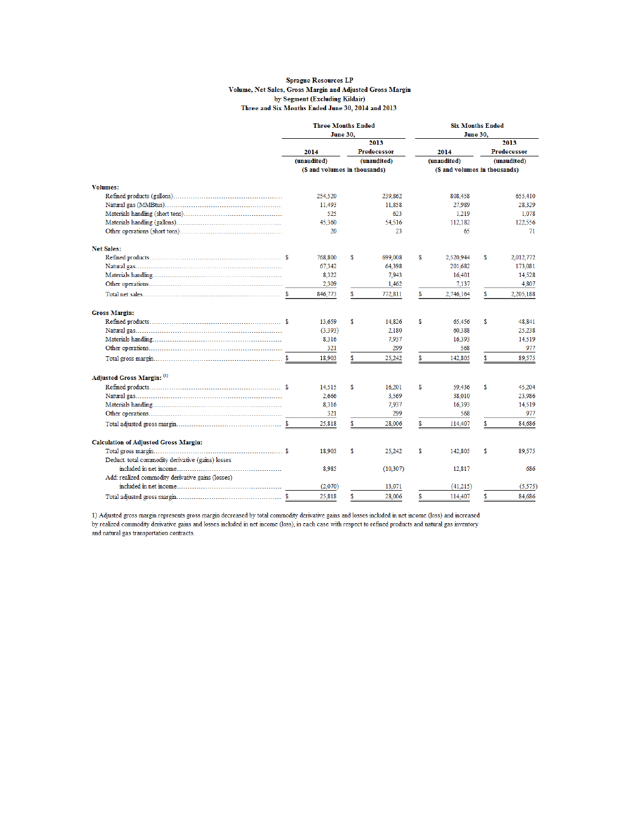#### **Sprague Resources LP** Volume, Net Sales, Gross Margin and Adjusted Gross Margin by Segment (Excluding Kildair) Three and Six Months Ended June 30, 2014 and 2013

|                                                   | <b>Three Months Ended</b><br><b>June 30,</b> |                               |                    |           | <b>Six Months Ended</b>       |             |    |                    |  |
|---------------------------------------------------|----------------------------------------------|-------------------------------|--------------------|-----------|-------------------------------|-------------|----|--------------------|--|
|                                                   |                                              |                               |                    | 2013      | <b>June 30,</b>               |             |    | 2013               |  |
|                                                   |                                              | 2014                          |                    |           |                               |             |    |                    |  |
|                                                   | (unaudited)                                  |                               | <b>Predecessor</b> |           |                               | 2014        |    | <b>Predecessor</b> |  |
|                                                   |                                              |                               | (unaudited)        |           |                               | (unaudited) |    | (unaudited)        |  |
|                                                   |                                              | (\$ and volumes in thousands) |                    |           | (\$ and volumes in thousands) |             |    |                    |  |
| <b>Volumes:</b>                                   |                                              |                               |                    |           |                               |             |    |                    |  |
|                                                   |                                              | 254,520                       |                    | 239,862   |                               | 808,458     |    | 655,410            |  |
|                                                   |                                              | 11,493                        |                    | 11,858    |                               | 27.989      |    | 28,329             |  |
|                                                   |                                              | 525                           |                    | 623       |                               | 1,219       |    | 1,078              |  |
|                                                   |                                              | 45.360                        |                    | 54.516    |                               | 112.182     |    | 122,556            |  |
|                                                   |                                              | 20                            |                    | 23        |                               | 65          |    | 71                 |  |
| <b>Net Sales:</b>                                 |                                              |                               |                    |           |                               |             |    |                    |  |
|                                                   |                                              | 768,800                       | \$                 | 699,008   | \$                            | 2.520.944   | s  | 2.012.772          |  |
|                                                   |                                              | 67,342                        |                    | 64,398    |                               | 201,682     |    | 173,081            |  |
|                                                   |                                              | 8.322                         |                    | 7.943     |                               | 16,401      |    | 14,528             |  |
|                                                   |                                              | 2,309                         |                    | 1,462     |                               | 7,137       |    | 4,807              |  |
|                                                   |                                              | 846,773                       | \$                 | 772,811   | \$                            | 2,746,164   | \$ | 2,205,188          |  |
| <b>Gross Margin:</b>                              |                                              |                               |                    |           |                               |             |    |                    |  |
|                                                   |                                              | 13,659                        | \$                 | 14,826    | \$                            | 65,456      | \$ | 48,841             |  |
|                                                   |                                              | (3,393)                       |                    | 2,180     |                               | 60,388      |    | 25,238             |  |
|                                                   |                                              | 8,316                         |                    | 7,937     |                               | 16,393      |    | 14,519             |  |
|                                                   |                                              | 321                           |                    | 299       |                               | 568         |    | 977                |  |
|                                                   |                                              | 18,903                        | \$                 | 25,242    | \$                            | 142,805     | \$ | 89,575             |  |
| Adjusted Gross Margin: (1)                        |                                              |                               |                    |           |                               |             |    |                    |  |
|                                                   |                                              | 14.515                        | \$                 | 16,201    | \$                            | 59,436      | \$ | 45.204             |  |
|                                                   |                                              | 2,666                         |                    | 3,569     |                               | 38,010      |    | 23,986             |  |
|                                                   |                                              | 8.316                         |                    | 7.937     |                               | 16.393      |    | 14.519             |  |
|                                                   |                                              | 321                           |                    | 299       |                               | 568         |    | 977                |  |
|                                                   |                                              |                               |                    |           |                               |             |    |                    |  |
|                                                   |                                              | 25,818                        | \$                 | 28,006    | \$                            | 114,407     | \$ | 84,686             |  |
| <b>Calculation of Adjusted Gross Margin:</b>      |                                              |                               |                    |           |                               |             |    |                    |  |
|                                                   |                                              | 18.903                        | \$                 | 25.242    | \$                            | 142,805     | \$ | 89,575             |  |
| Deduct: total commodity derivative (gains) losses |                                              |                               |                    |           |                               |             |    |                    |  |
|                                                   |                                              | 8.985                         |                    | (10, 307) |                               | 12,817      |    | 686                |  |
| Add: realized commodity derivative gains (losses) |                                              |                               |                    |           |                               |             |    |                    |  |
|                                                   |                                              | (2,070)                       |                    | 13,071    |                               | (41,215)    |    | (5,575)            |  |
|                                                   |                                              | 25.818                        | \$                 | 28,006    | S.                            | 114,407     | \$ | 84.686             |  |

1) Adjusted gross margin represents gross margin decreased by total commodity derivative gains and losses included in net income (loss) and increased by realized commodity derivative gains and losses included in net income (loss), in each case with respect to refined products and natural gas inventory<br>and natural gas transportation contracts.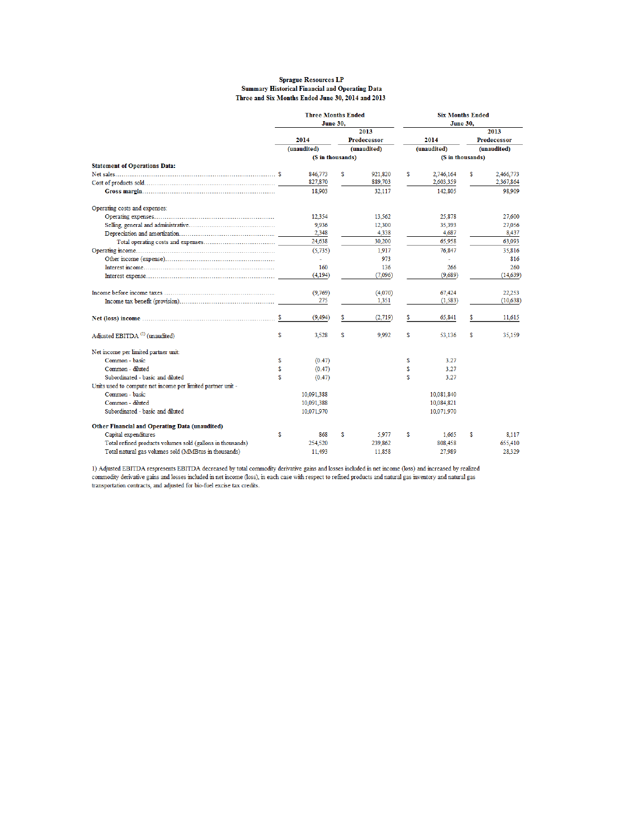#### **Sprague Resources LP** Summary Historical Financial and Operating Data Three and Six Months Ended June 30, 2014 and 2013

|                                                             |    | Three Months Ended |             |                    |    | <b>Six Months Ended</b> |                   |                    |  |  |
|-------------------------------------------------------------|----|--------------------|-------------|--------------------|----|-------------------------|-------------------|--------------------|--|--|
|                                                             |    | <b>June 30.</b>    |             |                    |    | <b>June 30.</b>         |                   |                    |  |  |
|                                                             |    | 2013               |             |                    |    |                         | 2013              |                    |  |  |
|                                                             |    | 2014               |             | <b>Predecessor</b> |    | 2014                    |                   | <b>Predecessor</b> |  |  |
|                                                             |    | (unaudited)        | (unaudited) |                    |    | (unaudited)             | (unaudited)       |                    |  |  |
|                                                             |    | (\$ in thousands)  |             |                    |    |                         | (\$ in thousands) |                    |  |  |
| <b>Statement of Operations Data:</b>                        |    |                    |             |                    |    |                         |                   |                    |  |  |
|                                                             |    | 846,773            | \$          | 921.820            | s. | 2.746.164               | S                 | 2.466,773          |  |  |
|                                                             |    | 827,870            |             | 889,703            |    | 2,603,359               |                   | 2,367,864          |  |  |
|                                                             |    | 18,903             |             | 32,117             |    | 142,805                 |                   | 98,909             |  |  |
| Operating costs and expenses:                               |    |                    |             |                    |    |                         |                   |                    |  |  |
|                                                             |    | 12.354             |             | 13,562             |    | 25,878                  |                   | 27,600             |  |  |
|                                                             |    | 9,936              |             | 12,300             |    | 35,393                  |                   | 27,056             |  |  |
|                                                             |    | 2,348              |             | 4,338              |    | 4.687                   |                   | 8,437              |  |  |
|                                                             |    | 24,638             |             | 30,200             |    | 65,958                  |                   | 63,093             |  |  |
|                                                             |    | (5,735)            |             | 1,917              |    | 76.847                  |                   | 35,816             |  |  |
|                                                             |    | $\mathbf{r}$       |             | 973                |    |                         |                   | 816                |  |  |
|                                                             |    | 160                |             | 136                |    | 266                     |                   | 260                |  |  |
|                                                             |    | (4, 194)           |             | (7,096)            |    | (9,689)                 |                   | (14, 639)          |  |  |
|                                                             |    | (9,769)            |             | (4,070)            |    | 67,424                  |                   | 22.253             |  |  |
|                                                             |    | 275                |             | 1,351              |    | (1, 583)                |                   | (10, 638)          |  |  |
|                                                             |    | (9, 494)           | \$          | (2,719)            | S. | 65.841                  | S                 | 11.615             |  |  |
| Adjusted EBITDA <sup>(1)</sup> (unaudited)                  | s  | 3.528              | \$          | 9.992              | \$ | 53.136                  | s                 | 35,159             |  |  |
| Net income per limited partner unit:                        |    |                    |             |                    |    |                         |                   |                    |  |  |
| Common - basic                                              | \$ | (0.47)             |             |                    | \$ | 3.27                    |                   |                    |  |  |
| Common - diluted                                            | \$ | (0.47)             |             |                    | \$ | 3.27                    |                   |                    |  |  |
| Subordinated - basic and diluted                            | Ŝ  | (0.47)             |             |                    | \$ | 3.27                    |                   |                    |  |  |
| Units used to compute net income per limited partner unit - |    |                    |             |                    |    |                         |                   |                    |  |  |
| Common - basic                                              |    | 10.091.388         |             |                    |    | 10.081.840              |                   |                    |  |  |
| Common - diluted                                            |    | 10,091,388         |             |                    |    | 10,084,821              |                   |                    |  |  |
| Subordinated - basic and diluted                            |    | 10,071,970         |             |                    |    | 10,071,970              |                   |                    |  |  |
| <b>Other Financial and Operating Data (unaudited)</b>       |    |                    |             |                    |    |                         |                   |                    |  |  |
| Capital expenditures                                        | s  | 868                | \$          | 5.977              | \$ | 1.665                   | S                 | 8.117              |  |  |
| Total refined products volumes sold (gallons in thousands)  |    | 254,520            |             | 239,862            |    | 808,458                 |                   | 655,410            |  |  |
| Total natural gas volumes sold (MMBtus in thousands)        |    | 11.493             |             | 11.858             |    | 27.989                  |                   | 28.329             |  |  |

1) Adjusted EBITDA respresents EBITDA decreased by total commodity derivative gains and losses included in net income (loss) and increased by realized commodity derivative gains and losses included in net income (loss), in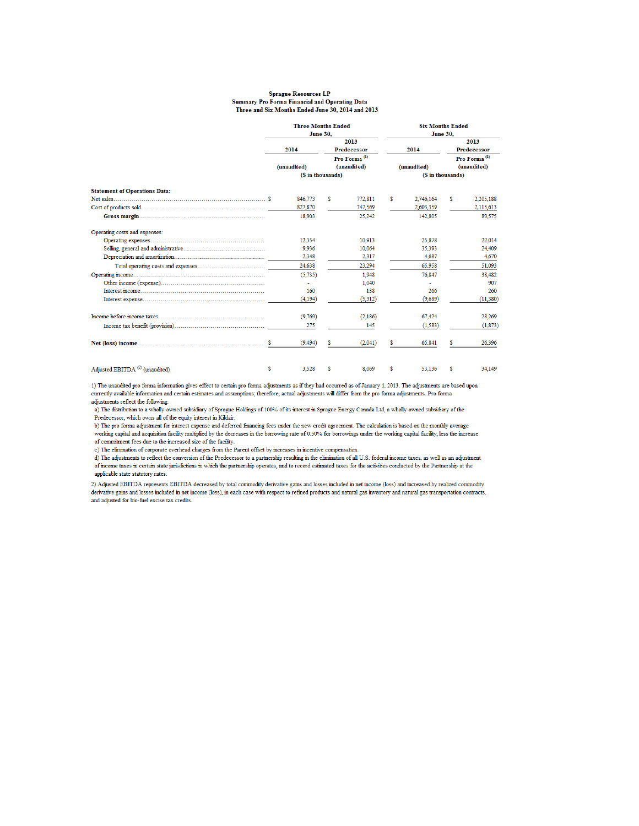#### **Sprague Resources LP** Summary Pro Forma Financial and Operating Data Three and Six Months Ended June 30, 2014 and 2013

|                                                 | <b>Three Months Ended</b> |                                                                                      |          |     | <b>Six Months Ended</b> |                                                               |           |  |
|-------------------------------------------------|---------------------------|--------------------------------------------------------------------------------------|----------|-----|-------------------------|---------------------------------------------------------------|-----------|--|
|                                                 | <b>June 30,</b><br>2013   |                                                                                      |          |     | <b>June 30.</b>         | 2013                                                          |           |  |
|                                                 | 2014                      | <b>Predecessor</b><br>2014<br>Pro Forma <sup>(1)</sup><br>(unaudited)<br>(unaudited) |          |     |                         | <b>Predecessor</b><br>Pro Forma <sup>(1)</sup><br>(unaudited) |           |  |
|                                                 | (unaudited)               |                                                                                      |          |     |                         |                                                               |           |  |
|                                                 | (S in thousands)          |                                                                                      |          |     | (S in thousands)        |                                                               |           |  |
| <b>Statement of Operations Data:</b>            |                           |                                                                                      |          |     |                         |                                                               |           |  |
|                                                 | 846,773                   | \$                                                                                   | 772.811  | \$. | 2,746,164               | S.                                                            | 2,205,188 |  |
|                                                 | 827,870                   |                                                                                      | 747.569  |     | 2,603,359               |                                                               | 2.115.613 |  |
|                                                 | 18.903                    |                                                                                      | 25.242   |     | 142,805                 |                                                               | 89.575    |  |
| Operating costs and expenses:                   |                           |                                                                                      |          |     |                         |                                                               |           |  |
|                                                 | 12.354                    |                                                                                      | 10.913   |     | 25,878                  |                                                               | 22.014    |  |
|                                                 | 9.936                     |                                                                                      | 10,064   |     | 35.393                  |                                                               | 24,409    |  |
|                                                 | 2.348                     |                                                                                      | 2,317    |     | 4,687                   |                                                               | 4,670     |  |
|                                                 | 24.638                    |                                                                                      | 23,294   |     | 65.958                  |                                                               | 51.093    |  |
|                                                 | (5.735)                   |                                                                                      | 1.948    |     | 76,847                  |                                                               | 38,482    |  |
|                                                 |                           |                                                                                      | 1.040    |     |                         |                                                               | 907       |  |
|                                                 | 160                       |                                                                                      | 138      |     | 266                     |                                                               | 260       |  |
|                                                 | (4.194)                   |                                                                                      | (5, 312) |     | (9,689)                 |                                                               | (11, 380) |  |
|                                                 | (9,769)                   |                                                                                      | (2.186)  |     | 67,424                  |                                                               | 28,269    |  |
|                                                 | 275                       |                                                                                      | 145      |     | (1, 583)                |                                                               | (1, 873)  |  |
|                                                 | (9, 494)                  | \$                                                                                   | (2,041)  |     | 65,841                  | \$                                                            | 26,396    |  |
| Adjusted EBITDA <sup>(2)</sup> (unaudited)<br>s | 3.528                     | \$                                                                                   | 8.069    | \$  | 53,136                  | s                                                             | 34,149    |  |

1) The unaudited pro forma information gives effect to certain pro forma adjustments as if they had occurred as of January 1, 2013. The adjustments are based upon currently available information and certain estimates and assumptions; therefore, actual adjustments will differ from the pro forma adjustments. Pro forma  $\!$  adjustments reflect the following:

a) The distribution to a wholly-owned subsidiary of Sprague Holdings of 100% of its interest in Sprague Energy Canada Ltd, a wholly-owned subsidiary of the Predecessor, which owns all of the equity interest in Kildair.

b) The pro forma adjustment for interest expense and deferred financing fees under the new credit agreement. The calculation is based on the monthly average working capital and acquisition facility multiplied by the decreases in the borrowing rate of 0.50% for borrowings under the working capital facility, less the increase of commitment fees due to the increased size of the facility.

c) The elimination of corporate overhead charges from the Parent offset by increases in incentive compensation.

d) The adjustments to reflect the conversion of the Predecessor to a partnership resulting in the elimination of all U.S. federal income taxes, as well as an adjustment of income taxes in certain state jurisdictions in which the partnership operates, and to record estimated taxes for the activities conducted by the Partnership at the applicable state statutory rates.

2) Adjusted EBITDA represents EBITDA decreased by total commodity derivative gains and losses included in net income (loss) and increased by realized commodity derivative gains and losses included in net income (loss), in each case with respect to refined products and natural gas inventory and natural gas transportation contracts, and adjusted for bio-fuel excise tax credits.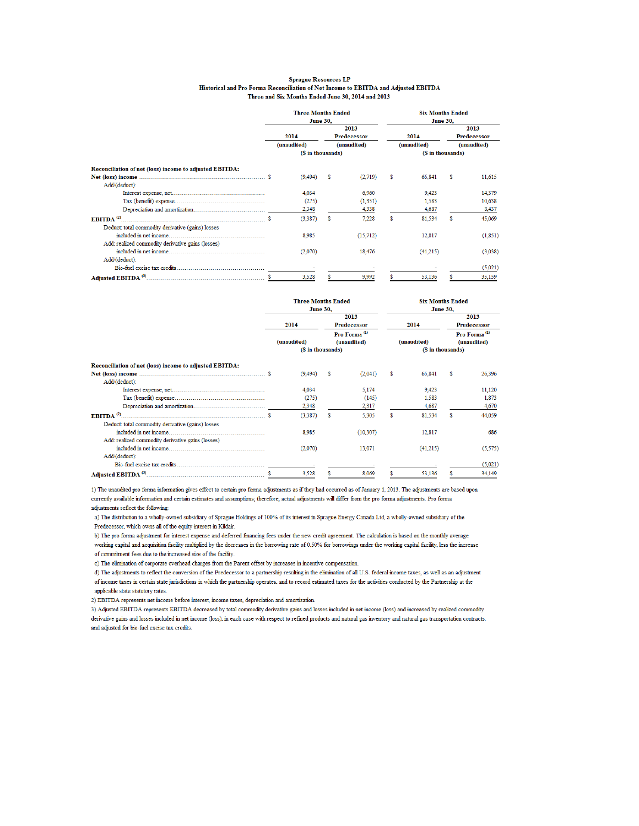#### **Sprague Resources LP** Historical and Pro Forma Reconciliation of Net Income to EBITDA and Adjusted EBITDA Three and Six Months Ended June 30, 2014 and 2013

|                                                         | <b>Three Months Ended</b><br><b>June 30,</b> |         |                            |           | <b>Six Months Ended</b><br><b>June 30,</b> |                     |          |                                   |         |
|---------------------------------------------------------|----------------------------------------------|---------|----------------------------|-----------|--------------------------------------------|---------------------|----------|-----------------------------------|---------|
|                                                         |                                              |         | 2013                       |           |                                            |                     |          |                                   | 2013    |
|                                                         | 2014<br>(unaudited)                          |         | Predecessor<br>(unaudited) |           |                                            | 2014<br>(unaudited) |          | <b>Predecessor</b><br>(unaudited) |         |
|                                                         |                                              |         |                            |           |                                            |                     |          |                                   |         |
|                                                         | (\$ in thousands)                            |         |                            |           |                                            |                     |          | (\$ in thousands)                 |         |
| Reconciliation of net (loss) income to adjusted EBITDA: |                                              |         |                            |           |                                            |                     |          |                                   |         |
|                                                         |                                              | (9.494) | S.                         | (2,719)   |                                            | s                   | 65,841   | \$                                | 11.615  |
| Add/(deduct):                                           |                                              |         |                            |           |                                            |                     |          |                                   |         |
|                                                         |                                              | 4,034   |                            | 6.960     |                                            |                     | 9.423    |                                   | 14,379  |
|                                                         |                                              | (275)   |                            | (1, 351)  |                                            |                     | 1.583    |                                   | 10,638  |
|                                                         |                                              | 2,348   |                            | 4,338     |                                            |                     | 4.687    |                                   | 8,437   |
| EBITDA $^{(2)}$                                         |                                              | (3,387) | \$.                        | 7.228     |                                            | \$                  | 81.534   | S.                                | 45,069  |
| Deduct: total commodity derivative (gains) losses       |                                              |         |                            |           |                                            |                     |          |                                   |         |
| included in net income.                                 |                                              | 8.985   |                            | (15, 712) |                                            |                     | 12.817   |                                   | (1,851) |
| Add: realized commodity derivative gains (losses)       |                                              |         |                            |           |                                            |                     |          |                                   |         |
|                                                         |                                              | (2,070) |                            | 18,476    |                                            |                     | (41.215) |                                   | (3,038) |
| Add/(deduct):                                           |                                              |         |                            |           |                                            |                     |          |                                   |         |
|                                                         |                                              |         |                            |           |                                            |                     |          |                                   | (5,021) |
|                                                         |                                              | 3,528   |                            | 9,992     |                                            |                     | 53,136   |                                   | 35,159  |

|                                                                                                                             | <b>Three Months Ended</b><br><b>June 30.</b> |   |                                         |    | <b>Six Months Ended</b><br><b>June 30.</b> |                                         |          |  |
|-----------------------------------------------------------------------------------------------------------------------------|----------------------------------------------|---|-----------------------------------------|----|--------------------------------------------|-----------------------------------------|----------|--|
|                                                                                                                             |                                              |   |                                         |    |                                            |                                         |          |  |
|                                                                                                                             |                                              |   | 2013                                    |    |                                            |                                         | 2013     |  |
|                                                                                                                             | 2014                                         |   | <b>Predecessor</b>                      |    | 2014                                       | <b>Predecessor</b>                      |          |  |
|                                                                                                                             | (unaudited)                                  |   | Pro Forma <sup>(1)</sup><br>(unaudited) |    | (unaudited)                                | Pro Forma <sup>(1)</sup><br>(unaudited) |          |  |
|                                                                                                                             | (\$ in thousands)                            |   |                                         |    |                                            | (\$ in thousands)                       |          |  |
| Reconciliation of net (loss) income to adjusted EBITDA:                                                                     |                                              |   |                                         |    |                                            |                                         |          |  |
|                                                                                                                             | (9, 494)                                     | S | (2,041)                                 | S. | 65,841                                     | \$                                      | 26,396   |  |
| Add/(deduct):                                                                                                               |                                              |   |                                         |    |                                            |                                         |          |  |
|                                                                                                                             | 4.034                                        |   | 5.174                                   |    | 9.423                                      |                                         | 11.120   |  |
|                                                                                                                             | (275)                                        |   | (145)                                   |    | 1,583                                      |                                         | 1,873    |  |
|                                                                                                                             | 2,348                                        |   | 2,317                                   |    | 4,687                                      |                                         | 4,670    |  |
| EBITDA $^{(2)}$ $\cdots$ $\cdots$ $\cdots$ $\cdots$ $\cdots$ $\cdots$ $\cdots$ $\cdots$ $\cdots$ $\cdots$ $\cdots$ $\cdots$ | (3.387)                                      | s | 5.305                                   | S. | 81,534                                     | S.                                      | 44.059   |  |
| Deduct: total commodity derivative (gains) losses                                                                           |                                              |   |                                         |    |                                            |                                         |          |  |
|                                                                                                                             | 8.985                                        |   | (10, 307)                               |    | 12,817                                     |                                         | 686      |  |
| Add: realized commodity derivative gains (losses)                                                                           |                                              |   |                                         |    |                                            |                                         |          |  |
|                                                                                                                             | (2,070)                                      |   | 13,071                                  |    | (41.215)                                   |                                         | (5, 575) |  |
| Add/(deduct):                                                                                                               |                                              |   |                                         |    |                                            |                                         |          |  |
|                                                                                                                             |                                              |   |                                         |    |                                            |                                         | (5,021)  |  |
|                                                                                                                             | 3,528                                        |   | 8,069                                   |    | 53,136                                     |                                         | 34,149   |  |

1) The unaudited pro forma information gives effect to certain pro forma adjustments as if they had occurred as of January 1, 2013. The adjustments are based upon currently available information and certain estimates and assumptions; therefore, actual adjustments will differ from the pro forma adjustments. Pro forma adjustments reflect the following:

a) The distribution to a wholly-owned subsidiary of Sprague Holdings of 100% of its interest in Sprague Energy Canada Ltd, a wholly-owned subsidiary of the Predecessor, which owns all of the equity interest in Kildair.

b) The pro forma adjustment for interest expense and deferred financing fees under the new credit agreement. The calculation is based on the monthly average working capital and acquisition facility multiplied by the decreases in the borrowing rate of 0.50% for borrowings under the working capital facility, less the increase

of commitment fees due to the increased size of the facility.

c) The elimination of corporate overhead charges from the Parent offset by increases in incentive compensation.

d) The adjustments to reflect the conversion of the Predecessor to a partnership resulting in the elimination of all U.S. federal income taxes, as well as an adjustment of income taxes in certain state jurisdictions in which the partnership operates, and to record estimated taxes for the activities conducted by the Partnership at the applicable state statutory rates.

2) EBITDA represents net income before interest, income taxes, depreciation and amortization.

3) Adjusted EBITDA represents EBITDA decreased by total commodity derivative gains and losses included in net income (loss) and increased by realized commodity derivative gains and losses included in net income (loss), in each case with respect to refined products and natural gas inventory and natural gas transportation contracts, and adjusted for bio-fuel excise tax credits.